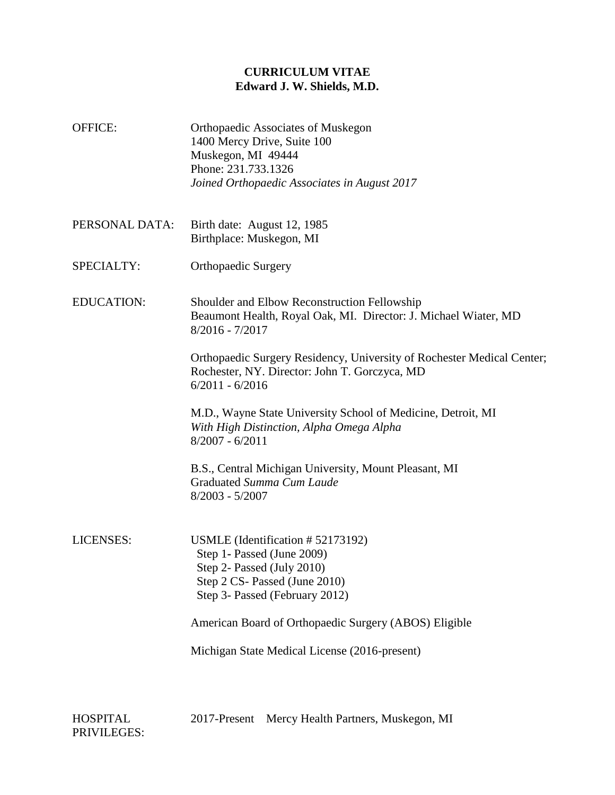# **CURRICULUM VITAE Edward J. W. Shields, M.D.**

- OFFICE: Orthopaedic Associates of Muskegon 1400 Mercy Drive, Suite 100 Muskegon, MI 49444 Phone: 231.733.1326 *Joined Orthopaedic Associates in August 2017*
- PERSONAL DATA: Birth date: August 12, 1985 Birthplace: Muskegon, MI
- SPECIALTY: Orthopaedic Surgery

EDUCATION: Shoulder and Elbow Reconstruction Fellowship Beaumont Health, Royal Oak, MI. Director: J. Michael Wiater, MD 8/2016 - 7/2017

> Orthopaedic Surgery Residency, University of Rochester Medical Center; Rochester, NY. Director: John T. Gorczyca, MD 6/2011 - 6/2016

M.D., Wayne State University School of Medicine, Detroit, MI *With High Distinction, Alpha Omega Alpha* 8/2007 - 6/2011

B.S., Central Michigan University, Mount Pleasant, MI Graduated *Summa Cum Laude* 8/2003 - 5/2007

LICENSES: USMLE (Identification # 52173192) Step 1**-** Passed (June 2009) Step 2- Passed (July 2010) Step 2 CS- Passed (June 2010) Step 3- Passed (February 2012)

American Board of Orthopaedic Surgery (ABOS) Eligible

Michigan State Medical License (2016-present)

2017-Present Mercy Health Partners, Muskegon, MI

HOSPITAL PRIVILEGES: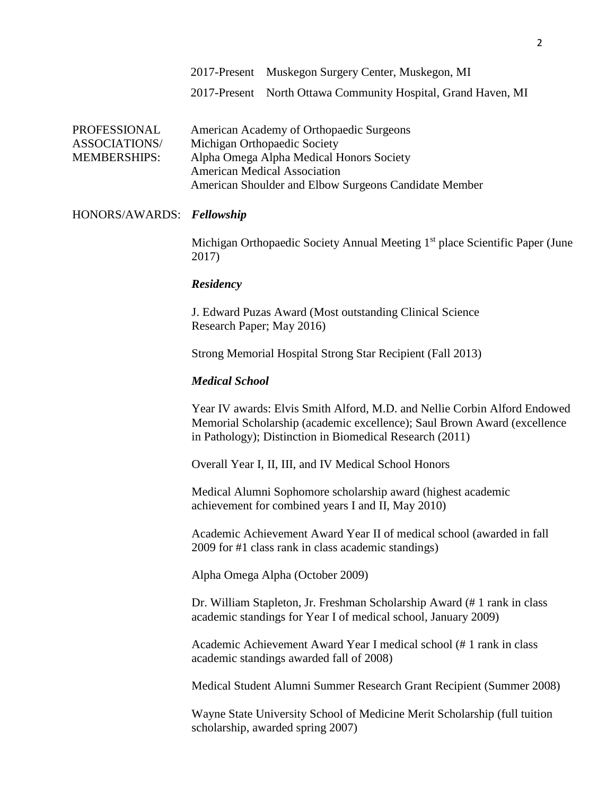2017-Present North Ottawa Community Hospital, Grand Haven, MI

| PROFESSIONAL        | American Academy of Orthopaedic Surgeons              |
|---------------------|-------------------------------------------------------|
| ASSOCIATIONS/       | Michigan Orthopaedic Society                          |
| <b>MEMBERSHIPS:</b> | Alpha Omega Alpha Medical Honors Society              |
|                     | <b>American Medical Association</b>                   |
|                     | American Shoulder and Elbow Surgeons Candidate Member |

#### HONORS/AWARDS: *Fellowship*

Michigan Orthopaedic Society Annual Meeting 1<sup>st</sup> place Scientific Paper (June 2017)

#### *Residency*

J. Edward Puzas Award (Most outstanding Clinical Science Research Paper; May 2016)

Strong Memorial Hospital Strong Star Recipient (Fall 2013)

#### *Medical School*

Year IV awards: Elvis Smith Alford, M.D. and Nellie Corbin Alford Endowed Memorial Scholarship (academic excellence); Saul Brown Award (excellence in Pathology); Distinction in Biomedical Research (2011)

Overall Year I, II, III, and IV Medical School Honors

Medical Alumni Sophomore scholarship award (highest academic achievement for combined years I and II, May 2010)

Academic Achievement Award Year II of medical school (awarded in fall 2009 for #1 class rank in class academic standings)

Alpha Omega Alpha (October 2009)

Dr. William Stapleton, Jr. Freshman Scholarship Award (# 1 rank in class academic standings for Year I of medical school, January 2009)

Academic Achievement Award Year I medical school (# 1 rank in class academic standings awarded fall of 2008)

Medical Student Alumni Summer Research Grant Recipient (Summer 2008)

Wayne State University School of Medicine Merit Scholarship (full tuition scholarship, awarded spring 2007)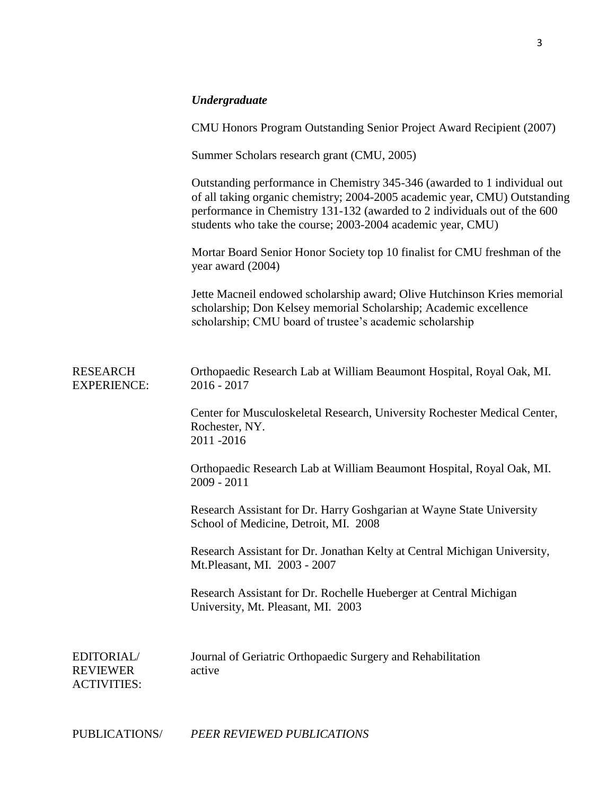# *Undergraduate*

|                                                     | CMU Honors Program Outstanding Senior Project Award Recipient (2007)                                                                                                                                                                                                                                |
|-----------------------------------------------------|-----------------------------------------------------------------------------------------------------------------------------------------------------------------------------------------------------------------------------------------------------------------------------------------------------|
|                                                     | Summer Scholars research grant (CMU, 2005)                                                                                                                                                                                                                                                          |
|                                                     | Outstanding performance in Chemistry 345-346 (awarded to 1 individual out<br>of all taking organic chemistry; 2004-2005 academic year, CMU) Outstanding<br>performance in Chemistry 131-132 (awarded to 2 individuals out of the 600<br>students who take the course; 2003-2004 academic year, CMU) |
|                                                     | Mortar Board Senior Honor Society top 10 finalist for CMU freshman of the<br>year award (2004)                                                                                                                                                                                                      |
|                                                     | Jette Macneil endowed scholarship award; Olive Hutchinson Kries memorial<br>scholarship; Don Kelsey memorial Scholarship; Academic excellence<br>scholarship; CMU board of trustee's academic scholarship                                                                                           |
| <b>RESEARCH</b><br><b>EXPERIENCE:</b>               | Orthopaedic Research Lab at William Beaumont Hospital, Royal Oak, MI.<br>$2016 - 2017$                                                                                                                                                                                                              |
|                                                     | Center for Musculoskeletal Research, University Rochester Medical Center,<br>Rochester, NY.<br>2011-2016                                                                                                                                                                                            |
|                                                     | Orthopaedic Research Lab at William Beaumont Hospital, Royal Oak, MI.<br>$2009 - 2011$                                                                                                                                                                                                              |
|                                                     | Research Assistant for Dr. Harry Goshgarian at Wayne State University<br>School of Medicine, Detroit, MI. 2008                                                                                                                                                                                      |
|                                                     | Research Assistant for Dr. Jonathan Kelty at Central Michigan University,<br>Mt. Pleasant, MI. 2003 - 2007                                                                                                                                                                                          |
|                                                     | Research Assistant for Dr. Rochelle Hueberger at Central Michigan<br>University, Mt. Pleasant, MI. 2003                                                                                                                                                                                             |
| EDITORIAL/<br><b>REVIEWER</b><br><b>ACTIVITIES:</b> | Journal of Geriatric Orthopaedic Surgery and Rehabilitation<br>active                                                                                                                                                                                                                               |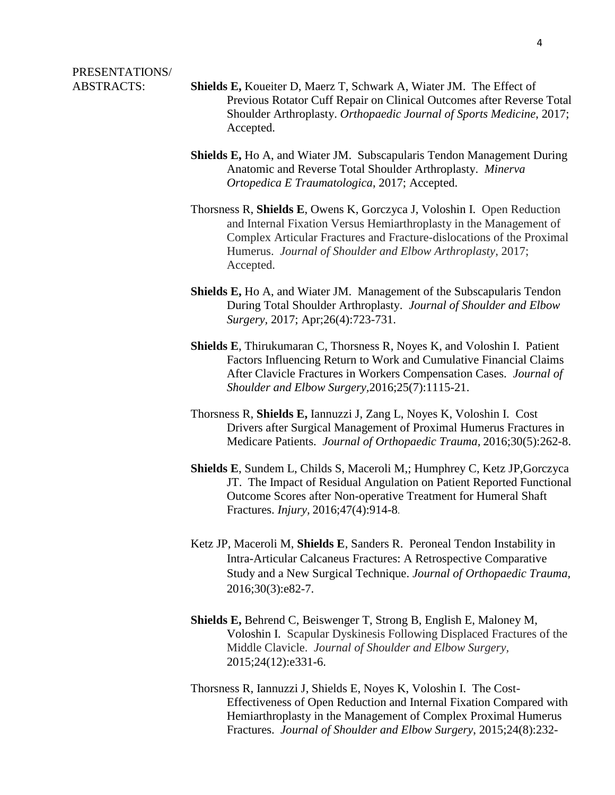# PRESENTATIONS/

- ABSTRACTS: **Shields E,** Koueiter D, Maerz T, Schwark A, Wiater JM. The Effect of Previous Rotator Cuff Repair on Clinical Outcomes after Reverse Total Shoulder Arthroplasty. *Orthopaedic Journal of Sports Medicine*, 2017; Accepted.
	- **Shields E,** Ho A, and Wiater JM. Subscapularis Tendon Management During Anatomic and Reverse Total Shoulder Arthroplasty. *Minerva Ortopedica E Traumatologica*, 2017; Accepted.
	- Thorsness R, **Shields E**, Owens K, Gorczyca J, Voloshin I. Open Reduction and Internal Fixation Versus Hemiarthroplasty in the Management of Complex Articular Fractures and Fracture-dislocations of the Proximal Humerus. *Journal of Shoulder and Elbow Arthroplasty*, 2017; Accepted.
	- **Shields E,** Ho A, and Wiater JM. Management of the Subscapularis Tendon During Total Shoulder Arthroplasty. *Journal of Shoulder and Elbow Surgery,* 2017; Apr;26(4):723-731.
	- **Shields E**, Thirukumaran C, Thorsness R, Noyes K, and Voloshin I. Patient Factors Influencing Return to Work and Cumulative Financial Claims After Clavicle Fractures in Workers Compensation Cases.*Journal of Shoulder and Elbow Surgery,*2016;25(7):1115-21.
	- Thorsness R, **Shields E,** Iannuzzi J, Zang L, Noyes K, Voloshin I. Cost Drivers after Surgical Management of Proximal Humerus Fractures in Medicare Patients.*Journal of Orthopaedic Trauma,* 2016;30(5):262-8.
	- **Shields E**, Sundem L, Childs S, Maceroli M,; Humphrey C, Ketz JP,Gorczyca JT. The Impact of Residual Angulation on Patient Reported Functional Outcome Scores after Non-operative Treatment for Humeral Shaft Fractures. *Injury,* 2016;47(4):914-8.
	- Ketz JP, Maceroli M, **Shields E**, Sanders R. Peroneal Tendon Instability in Intra-Articular Calcaneus Fractures: A Retrospective Comparative Study and a New Surgical Technique. *Journal of Orthopaedic Trauma,*  2016;30(3):e82-7.
	- **Shields E,** Behrend C, Beiswenger T, Strong B, English E, Maloney M, Voloshin I. Scapular Dyskinesis Following Displaced Fractures of the Middle Clavicle.*Journal of Shoulder and Elbow Surgery,* 2015;24(12):e331-6.
	- Thorsness R, Iannuzzi J, Shields E, Noyes K, Voloshin I. The Cost-Effectiveness of Open Reduction and Internal Fixation Compared with Hemiarthroplasty in the Management of Complex Proximal Humerus Fractures. *Journal of Shoulder and Elbow Surgery*, 2015;24(8):232-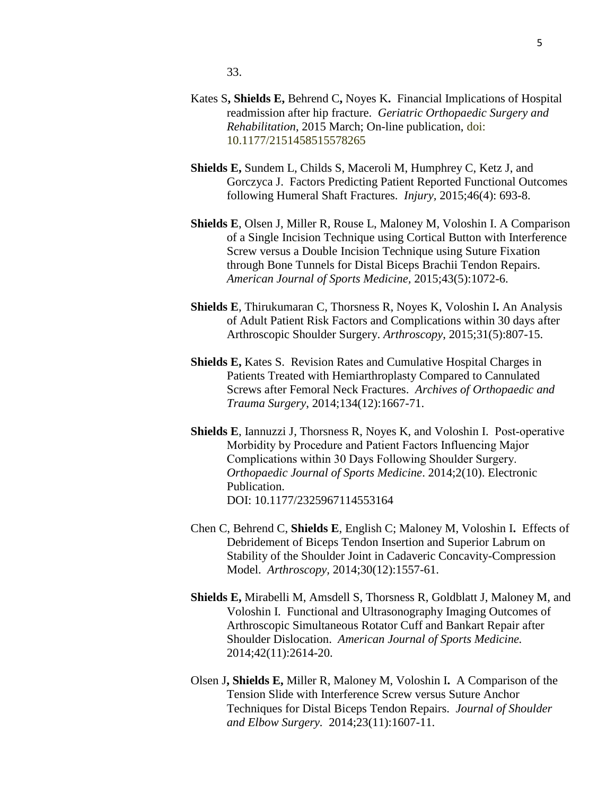- Kates S**, Shields E,** Behrend C**,** Noyes K**.** Financial Implications of Hospital readmission after hip fracture.*Geriatric Orthopaedic Surgery and Rehabilitation*, 2015 March; On-line publication, doi: 10.1177/2151458515578265
- **Shields E,** Sundem L, Childs S, Maceroli M, Humphrey C, Ketz J, and Gorczyca J. Factors Predicting Patient Reported Functional Outcomes following Humeral Shaft Fractures. *Injury,* 2015;46(4): 693-8.
- **Shields E**, Olsen J, Miller R, Rouse L, Maloney M, Voloshin I. A Comparison of a Single Incision Technique using Cortical Button with Interference Screw versus a Double Incision Technique using Suture Fixation through Bone Tunnels for Distal Biceps Brachii Tendon Repairs. *American Journal of Sports Medicine,* 2015;43(5):1072-6.
- **Shields E**, Thirukumaran C, Thorsness R, Noyes K, Voloshin I**.** An Analysis of Adult Patient Risk Factors and Complications within 30 days after Arthroscopic Shoulder Surgery. *Arthroscopy*, 2015;31(5):807-15.
- **Shields E,** Kates S. Revision Rates and Cumulative Hospital Charges in Patients Treated with Hemiarthroplasty Compared to Cannulated Screws after Femoral Neck Fractures.*Archives of Orthopaedic and Trauma Surgery*, 2014;134(12):1667-71.
- **Shields E**, Iannuzzi J, Thorsness R, Noyes K, and Voloshin I. Post-operative Morbidity by Procedure and Patient Factors Influencing Major Complications within 30 Days Following Shoulder Surgery. *Orthopaedic Journal of Sports Medicine*. 2014;2(10). Electronic Publication. DOI: 10.1177/2325967114553164
- Chen C, Behrend C, **Shields E**, English C; Maloney M, Voloshin I**.** Effects of Debridement of Biceps Tendon Insertion and Superior Labrum on Stability of the Shoulder Joint in Cadaveric Concavity-Compression Model.*Arthroscopy,* 2014;30(12):1557-61.
- **Shields E,** Mirabelli M, Amsdell S, Thorsness R, Goldblatt J, Maloney M, and Voloshin I. Functional and Ultrasonography Imaging Outcomes of Arthroscopic Simultaneous Rotator Cuff and Bankart Repair after Shoulder Dislocation.*American Journal of Sports Medicine.*  2014;42(11):2614-20.
- Olsen J**, Shields E,** Miller R, Maloney M, Voloshin I**.** A Comparison of the Tension Slide with Interference Screw versus Suture Anchor Techniques for Distal Biceps Tendon Repairs.*Journal of Shoulder and Elbow Surgery.* 2014;23(11):1607-11.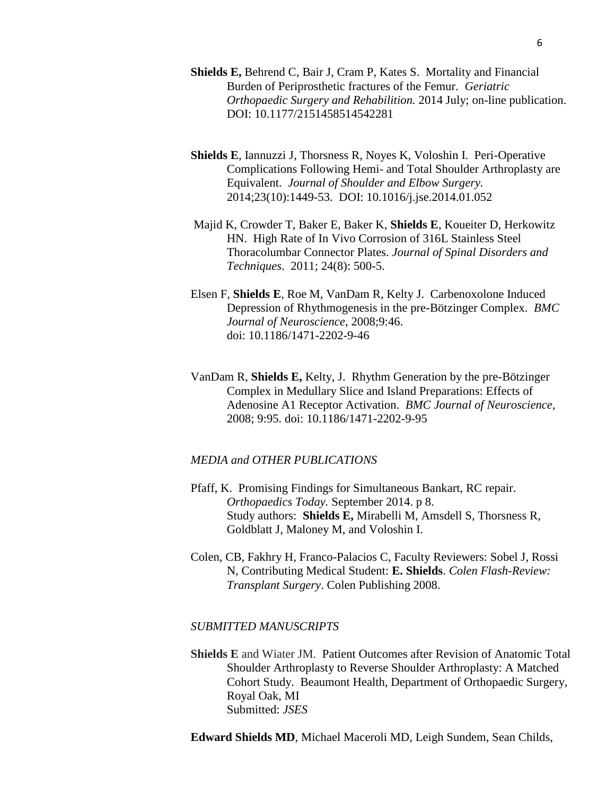- **Shields E,** Behrend C, Bair J, Cram P, Kates S. Mortality and Financial Burden of Periprosthetic fractures of the Femur. *Geriatric Orthopaedic Surgery and Rehabilition.* 2014 July; on-line publication. DOI: 10.1177/2151458514542281
- **Shields E**, Iannuzzi J, Thorsness R, Noyes K, Voloshin I. Peri-Operative Complications Following Hemi- and Total Shoulder Arthroplasty are Equivalent.*Journal of Shoulder and Elbow Surgery.* 2014;23(10):1449-53. DOI: 10.1016/j.jse.2014.01.052
- Majid K, Crowder T, Baker E, Baker K, **Shields E**, Koueiter D, Herkowitz HN. High Rate of In Vivo Corrosion of 316L Stainless Steel Thoracolumbar Connector Plates. *Journal of Spinal Disorders and Techniques*. 2011; 24(8): 500-5.
- Elsen F, **Shields E**, Roe M, VanDam R, Kelty J. Carbenoxolone Induced Depression of Rhythmogenesis in the pre-Bötzinger Complex.*BMC Journal of Neuroscience*, 2008;9:46. doi: 10.1186/1471-2202-9-46
- VanDam R, **Shields E,** Kelty, J. Rhythm Generation by the pre-Bötzinger Complex in Medullary Slice and Island Preparations: Effects of Adenosine A1 Receptor Activation. *BMC Journal of Neuroscience,*  2008; 9:95. doi: 10.1186/1471-2202-9-95

#### *MEDIA and OTHER PUBLICATIONS*

- Pfaff, K. Promising Findings for Simultaneous Bankart, RC repair. *Orthopaedics Today.* September 2014. p 8. Study authors: **Shields E,** Mirabelli M, Amsdell S, Thorsness R, Goldblatt J, Maloney M, and Voloshin I.
- Colen, CB, Fakhry H, Franco-Palacios C, Faculty Reviewers: Sobel J, Rossi N, Contributing Medical Student: **E. Shields**. *Colen Flash-Review: Transplant Surgery*. Colen Publishing 2008.

#### *SUBMITTED MANUSCRIPTS*

**Shields E** and Wiater JM. Patient Outcomes after Revision of Anatomic Total Shoulder Arthroplasty to Reverse Shoulder Arthroplasty: A Matched Cohort Study. Beaumont Health, Department of Orthopaedic Surgery, Royal Oak, MI Submitted: *JSES*

**Edward Shields MD**, Michael Maceroli MD, Leigh Sundem, Sean Childs,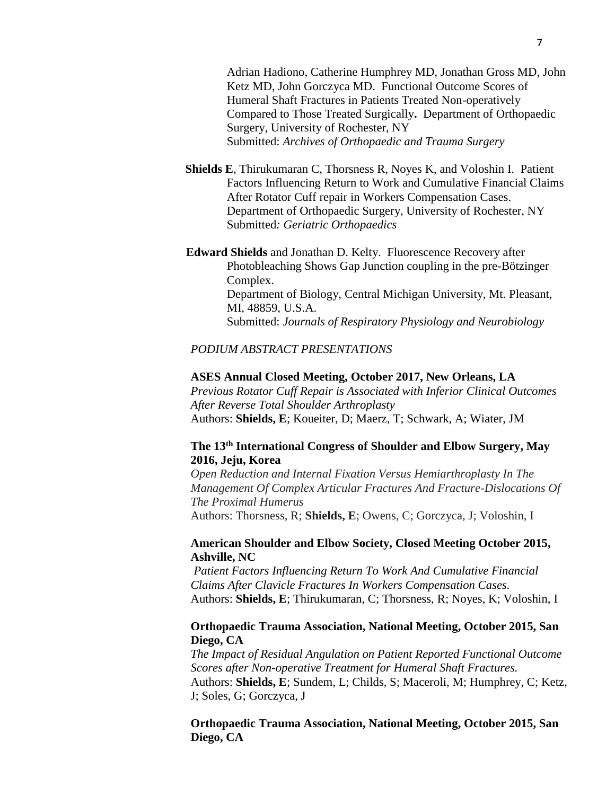Adrian Hadiono, Catherine Humphrey MD, Jonathan Gross MD, John Ketz MD, John Gorczyca MD. Functional Outcome Scores of Humeral Shaft Fractures in Patients Treated Non-operatively Compared to Those Treated Surgically**.** Department of Orthopaedic Surgery, University of Rochester, NY Submitted: *Archives of Orthopaedic and Trauma Surgery*

- **Shields E**, Thirukumaran C, Thorsness R, Noyes K, and Voloshin I. Patient Factors Influencing Return to Work and Cumulative Financial Claims After Rotator Cuff repair in Workers Compensation Cases. Department of Orthopaedic Surgery, University of Rochester, NY Submitted*: Geriatric Orthopaedics*
- **Edward Shields** and Jonathan D. Kelty. Fluorescence Recovery after Photobleaching Shows Gap Junction coupling in the pre-Bötzinger Complex. Department of Biology, Central Michigan University, Mt. Pleasant, MI, 48859, U.S.A. Submitted: *Journals of Respiratory Physiology and Neurobiology*

#### *PODIUM ABSTRACT PRESENTATIONS*

#### **ASES Annual Closed Meeting, October 2017, New Orleans, LA**

*Previous Rotator Cuff Repair is Associated with Inferior Clinical Outcomes After Reverse Total Shoulder Arthroplasty* Authors: **Shields, E**; Koueiter, D; Maerz, T; Schwark, A; Wiater, JM

# **The 13th International Congress of Shoulder and Elbow Surgery, May 2016, Jeju, Korea**

*Open Reduction and Internal Fixation Versus Hemiarthroplasty In The Management Of Complex Articular Fractures And Fracture-Dislocations Of The Proximal Humerus* Authors: Thorsness, R; **Shields, E**; Owens, C; Gorczyca, J; Voloshin, I

## **American Shoulder and Elbow Society, Closed Meeting October 2015, Ashville, NC**

*Patient Factors Influencing Return To Work And Cumulative Financial Claims After Clavicle Fractures In Workers Compensation Cases.* Authors: **Shields, E**; Thirukumaran, C; Thorsness, R; Noyes, K; Voloshin, I

# **Orthopaedic Trauma Association, National Meeting, October 2015, San Diego, CA**

*The Impact of Residual Angulation on Patient Reported Functional Outcome Scores after Non-operative Treatment for Humeral Shaft Fractures.* Authors: **Shields, E**; Sundem, L; Childs, S; Maceroli, M; Humphrey, C; Ketz, J; Soles, G; Gorczyca, J

**Orthopaedic Trauma Association, National Meeting, October 2015, San Diego, CA**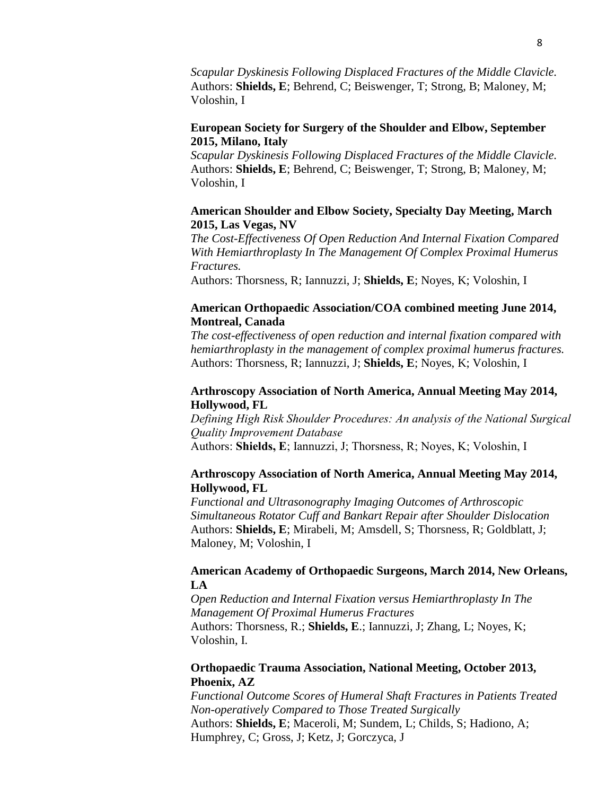*Scapular Dyskinesis Following Displaced Fractures of the Middle Clavicle.* Authors: **Shields, E**; Behrend, C; Beiswenger, T; Strong, B; Maloney, M; Voloshin, I

# **European Society for Surgery of the Shoulder and Elbow, September 2015, Milano, Italy**

*Scapular Dyskinesis Following Displaced Fractures of the Middle Clavicle.* Authors: **Shields, E**; Behrend, C; Beiswenger, T; Strong, B; Maloney, M; Voloshin, I

# **American Shoulder and Elbow Society, Specialty Day Meeting, March 2015, Las Vegas, NV**

*The Cost-Effectiveness Of Open Reduction And Internal Fixation Compared With Hemiarthroplasty In The Management Of Complex Proximal Humerus Fractures.*

Authors: Thorsness, R; Iannuzzi, J; **Shields, E**; Noyes, K; Voloshin, I

# **American Orthopaedic Association/COA combined meeting June 2014, Montreal, Canada**

*The cost-effectiveness of open reduction and internal fixation compared with hemiarthroplasty in the management of complex proximal humerus fractures.*  Authors: Thorsness, R; Iannuzzi, J; **Shields, E**; Noyes, K; Voloshin, I

# **Arthroscopy Association of North America, Annual Meeting May 2014, Hollywood, FL**

*Defining High Risk Shoulder Procedures: An analysis of the National Surgical Quality Improvement Database* Authors: **Shields, E**; Iannuzzi, J; Thorsness, R; Noyes, K; Voloshin, I

# **Arthroscopy Association of North America, Annual Meeting May 2014, Hollywood, FL**

*Functional and Ultrasonography Imaging Outcomes of Arthroscopic Simultaneous Rotator Cuff and Bankart Repair after Shoulder Dislocation* Authors: **Shields, E**; Mirabeli, M; Amsdell, S; Thorsness, R; Goldblatt, J; Maloney, M; Voloshin, I

# **American Academy of Orthopaedic Surgeons, March 2014, New Orleans, LA**

*Open Reduction and Internal Fixation versus Hemiarthroplasty In The Management Of Proximal Humerus Fractures* Authors: Thorsness, R.; **Shields, E**.; Iannuzzi, J; Zhang, L; Noyes, K; Voloshin, I.

# **Orthopaedic Trauma Association, National Meeting, October 2013, Phoenix, AZ**

*Functional Outcome Scores of Humeral Shaft Fractures in Patients Treated Non-operatively Compared to Those Treated Surgically* Authors: **Shields, E**; Maceroli, M; Sundem, L; Childs, S; Hadiono, A; Humphrey, C; Gross, J; Ketz, J; Gorczyca, J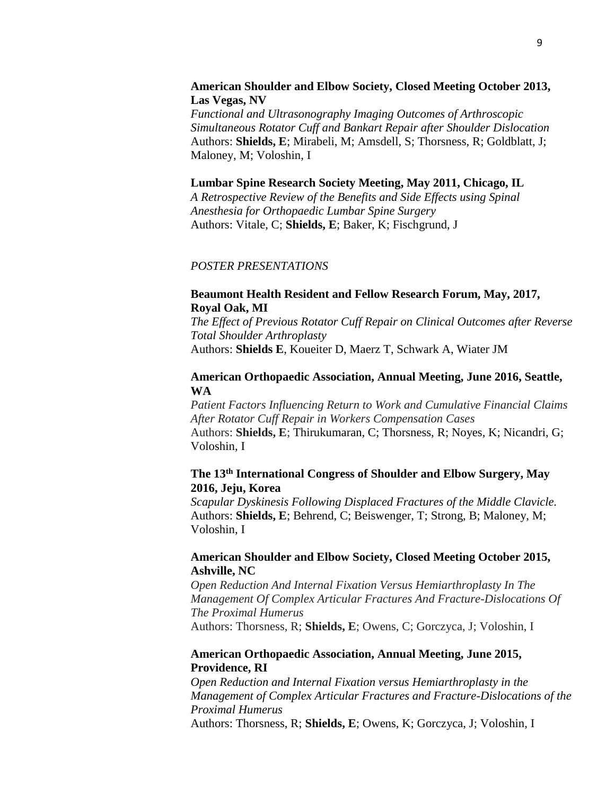#### **American Shoulder and Elbow Society, Closed Meeting October 2013, Las Vegas, NV**

*Functional and Ultrasonography Imaging Outcomes of Arthroscopic Simultaneous Rotator Cuff and Bankart Repair after Shoulder Dislocation* Authors: **Shields, E**; Mirabeli, M; Amsdell, S; Thorsness, R; Goldblatt, J; Maloney, M; Voloshin, I

#### **Lumbar Spine Research Society Meeting, May 2011, Chicago, IL**

*A Retrospective Review of the Benefits and Side Effects using Spinal Anesthesia for Orthopaedic Lumbar Spine Surgery* Authors: Vitale, C; **Shields, E**; Baker, K; Fischgrund, J

#### *POSTER PRESENTATIONS*

#### **Beaumont Health Resident and Fellow Research Forum, May, 2017, Royal Oak, MI**

*The Effect of Previous Rotator Cuff Repair on Clinical Outcomes after Reverse Total Shoulder Arthroplasty* Authors: **Shields E**, Koueiter D, Maerz T, Schwark A, Wiater JM

#### **American Orthopaedic Association, Annual Meeting, June 2016, Seattle, WA**

*Patient Factors Influencing Return to Work and Cumulative Financial Claims After Rotator Cuff Repair in Workers Compensation Cases* Authors: **Shields, E**; Thirukumaran, C; Thorsness, R; Noyes, K; Nicandri, G; Voloshin, I

# **The 13th International Congress of Shoulder and Elbow Surgery, May 2016, Jeju, Korea**

*Scapular Dyskinesis Following Displaced Fractures of the Middle Clavicle.* Authors: **Shields, E**; Behrend, C; Beiswenger, T; Strong, B; Maloney, M; Voloshin, I

# **American Shoulder and Elbow Society, Closed Meeting October 2015, Ashville, NC**

*Open Reduction And Internal Fixation Versus Hemiarthroplasty In The Management Of Complex Articular Fractures And Fracture-Dislocations Of The Proximal Humerus* Authors: Thorsness, R; **Shields, E**; Owens, C; Gorczyca, J; Voloshin, I

# **American Orthopaedic Association, Annual Meeting, June 2015, Providence, RI**

*Open Reduction and Internal Fixation versus Hemiarthroplasty in the Management of Complex Articular Fractures and Fracture-Dislocations of the Proximal Humerus*

Authors: Thorsness, R; **Shields, E**; Owens, K; Gorczyca, J; Voloshin, I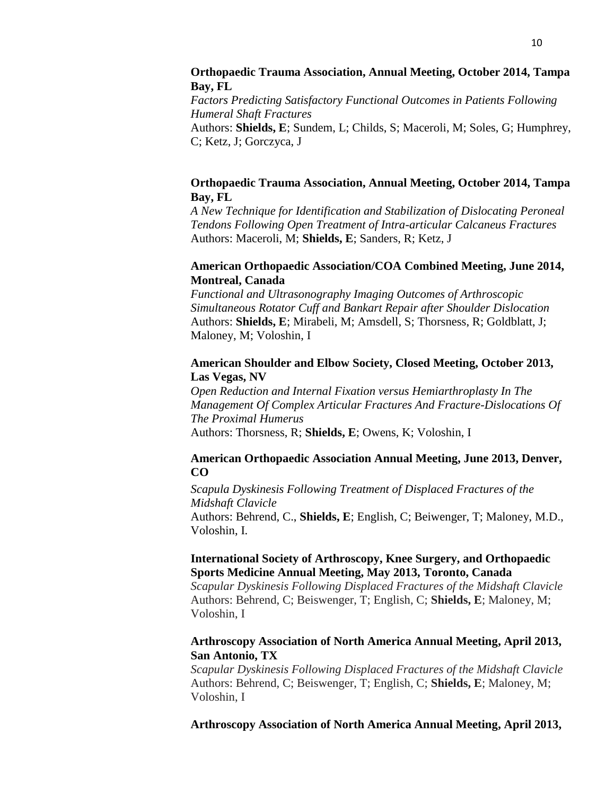# **Orthopaedic Trauma Association, Annual Meeting, October 2014, Tampa Bay, FL**

*Factors Predicting Satisfactory Functional Outcomes in Patients Following Humeral Shaft Fractures* Authors: **Shields, E**; Sundem, L; Childs, S; Maceroli, M; Soles, G; Humphrey, C; Ketz, J; Gorczyca, J

# **Orthopaedic Trauma Association, Annual Meeting, October 2014, Tampa Bay, FL**

*A New Technique for Identification and Stabilization of Dislocating Peroneal Tendons Following Open Treatment of Intra-articular Calcaneus Fractures* Authors: Maceroli, M; **Shields, E**; Sanders, R; Ketz, J

# **American Orthopaedic Association/COA Combined Meeting, June 2014, Montreal, Canada**

*Functional and Ultrasonography Imaging Outcomes of Arthroscopic Simultaneous Rotator Cuff and Bankart Repair after Shoulder Dislocation* Authors: **Shields, E**; Mirabeli, M; Amsdell, S; Thorsness, R; Goldblatt, J; Maloney, M; Voloshin, I

## **American Shoulder and Elbow Society, Closed Meeting, October 2013, Las Vegas, NV**

*Open Reduction and Internal Fixation versus Hemiarthroplasty In The Management Of Complex Articular Fractures And Fracture-Dislocations Of The Proximal Humerus* Authors: Thorsness, R; **Shields, E**; Owens, K; Voloshin, I

# **American Orthopaedic Association Annual Meeting, June 2013, Denver, CO**

*Scapula Dyskinesis Following Treatment of Displaced Fractures of the Midshaft Clavicle* Authors: Behrend, C., **Shields, E**; English, C; Beiwenger, T; Maloney, M.D., Voloshin, I.

# **International Society of Arthroscopy, Knee Surgery, and Orthopaedic Sports Medicine Annual Meeting, May 2013, Toronto, Canada**

*Scapular Dyskinesis Following Displaced Fractures of the Midshaft Clavicle* Authors: Behrend, C; Beiswenger, T; English, C; **Shields, E**; Maloney, M; Voloshin, I

# **Arthroscopy Association of North America Annual Meeting, April 2013, San Antonio, TX**

*Scapular Dyskinesis Following Displaced Fractures of the Midshaft Clavicle* Authors: Behrend, C; Beiswenger, T; English, C; **Shields, E**; Maloney, M; Voloshin, I

**Arthroscopy Association of North America Annual Meeting, April 2013,**